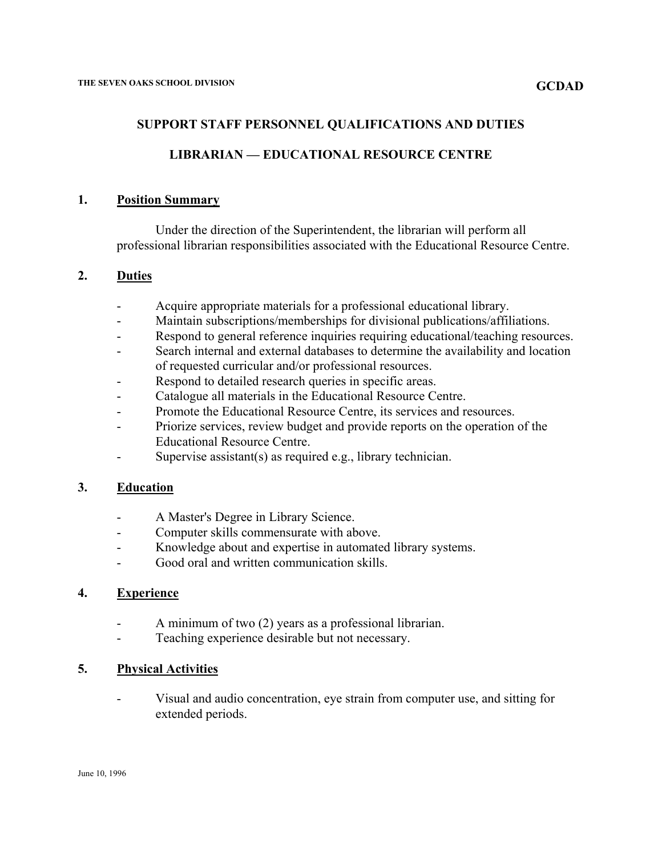### **SUPPORT STAFF PERSONNEL QUALIFICATIONS AND DUTIES**

## **LIBRARIAN — EDUCATIONAL RESOURCE CENTRE**

#### **1. Position Summary**

Under the direction of the Superintendent, the librarian will perform all professional librarian responsibilities associated with the Educational Resource Centre.

## **2. Duties**

- Acquire appropriate materials for a professional educational library.
- Maintain subscriptions/memberships for divisional publications/affiliations.
- Respond to general reference inquiries requiring educational/teaching resources.
- Search internal and external databases to determine the availability and location of requested curricular and/or professional resources.
- Respond to detailed research queries in specific areas.
- Catalogue all materials in the Educational Resource Centre.
- Promote the Educational Resource Centre, its services and resources.
- Priorize services, review budget and provide reports on the operation of the Educational Resource Centre.
- Supervise assistant(s) as required e.g., library technician.

#### **3. Education**

- A Master's Degree in Library Science.
- Computer skills commensurate with above.
- Knowledge about and expertise in automated library systems.
- Good oral and written communication skills.

#### **4. Experience**

- A minimum of two (2) years as a professional librarian.
- Teaching experience desirable but not necessary.

#### **5. Physical Activities**

- Visual and audio concentration, eye strain from computer use, and sitting for extended periods.